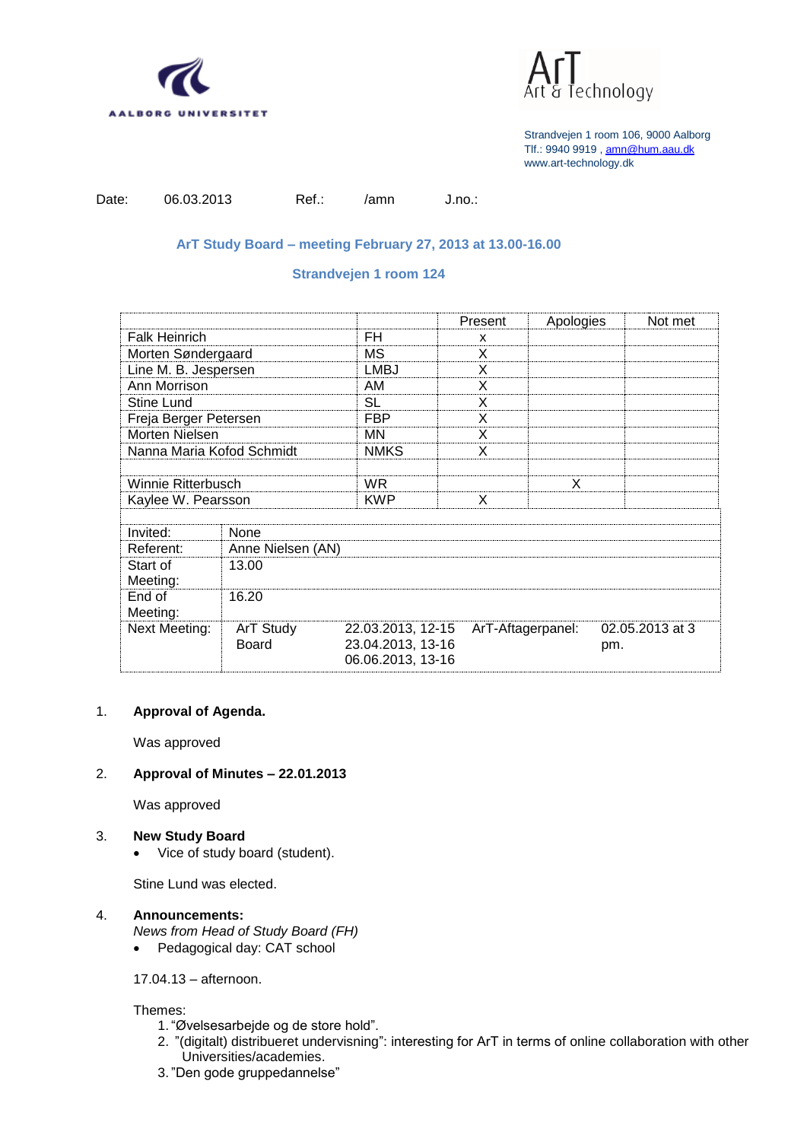



| Date: | O٤ |
|-------|----|
|       |    |

e.03.2013 Ref.: /amn J.no.:

# **ArT Study Board – meeting February 27, 2013 at 13.00-16.00**

## **Strandvejen 1 room 124**

|                           |                    |                                                             | Present           | Apologies | Not met                |  |
|---------------------------|--------------------|-------------------------------------------------------------|-------------------|-----------|------------------------|--|
| <b>Falk Heinrich</b>      |                    | FH                                                          | x                 |           |                        |  |
| Morten Søndergaard        |                    | ΜS                                                          | X                 |           |                        |  |
| Line M. B. Jespersen      |                    | <b>LMBJ</b>                                                 | X                 |           |                        |  |
| Ann Morrison              |                    | AM                                                          | X                 |           |                        |  |
| <b>Stine Lund</b>         |                    | SL                                                          | X                 |           |                        |  |
| Freja Berger Petersen     |                    | <b>FBP</b>                                                  | X                 |           |                        |  |
| Morten Nielsen            |                    | ΜN                                                          | X                 |           |                        |  |
| Nanna Maria Kofod Schmidt |                    | <b>NMKS</b>                                                 | X                 |           |                        |  |
|                           |                    |                                                             |                   |           |                        |  |
| Winnie Ritterbusch        |                    | WR.                                                         |                   | X         |                        |  |
| Kaylee W. Pearsson        |                    | KWP                                                         | X                 |           |                        |  |
|                           |                    |                                                             |                   |           |                        |  |
| Invited:                  | None               |                                                             |                   |           |                        |  |
| Referent:                 | Anne Nielsen (AN)  |                                                             |                   |           |                        |  |
| Start of<br>Meeting:      | 13.00              |                                                             |                   |           |                        |  |
| End of<br>Meeting:        | 16.20              |                                                             |                   |           |                        |  |
| <b>Next Meeting:</b>      | ArT Study<br>Board | 22.03.2013, 12-15<br>23.04.2013, 13-16<br>06.06.2013, 13-16 | ArT-Aftagerpanel: |           | 02.05.2013 at 3<br>pm. |  |

### 1. **Approval of Agenda.**

Was approved

## 2. **Approval of Minutes – 22.01.2013**

Was approved

#### 3. **New Study Board**

• Vice of study board (student).

Stine Lund was elected.

# 4. **Announcements:**

*News from Head of Study Board (FH)*

• Pedagogical day: CAT school

17.04.13 – afternoon.

#### Themes:

- 1. "Øvelsesarbejde og de store hold".
- 2. "(digitalt) distribueret undervisning": interesting for ArT in terms of online collaboration with other Universities/academies.
- 3. "Den gode gruppedannelse"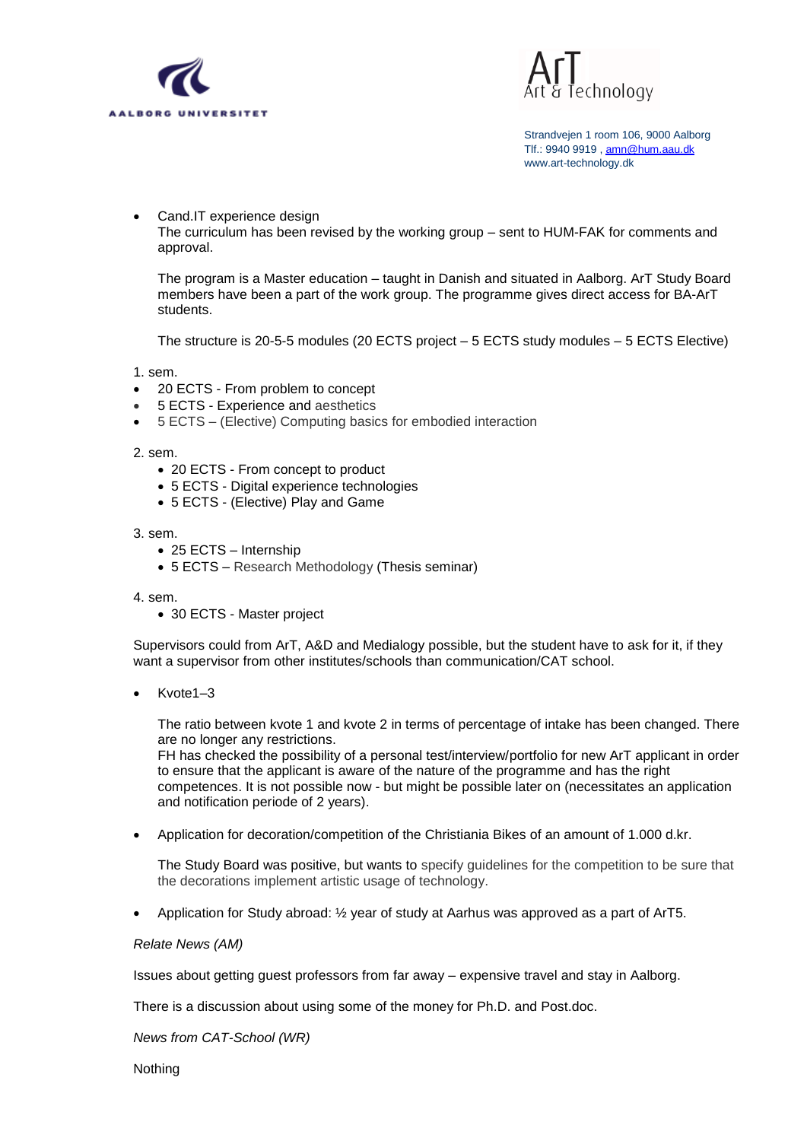



# Cand.IT experience design

The curriculum has been revised by the working group – sent to HUM-FAK for comments and approval.

The program is a Master education – taught in Danish and situated in Aalborg. ArT Study Board members have been a part of the work group. The programme gives direct access for BA-ArT students.

The structure is 20-5-5 modules (20 ECTS project – 5 ECTS study modules – 5 ECTS Elective)

1. sem.

- 20 ECTS From problem to concept
- 5 ECTS Experience and aesthetics
- 5 ECTS (Elective) Computing basics for embodied interaction

2. sem.

- 20 ECTS From concept to product
- 5 ECTS Digital experience technologies
- 5 ECTS (Elective) Play and Game

3. sem.

- 25 ECTS Internship
- 5 ECTS Research Methodology (Thesis seminar)

4. sem.

30 ECTS - Master project

Supervisors could from ArT, A&D and Medialogy possible, but the student have to ask for it, if they want a supervisor from other institutes/schools than communication/CAT school.

 $\bullet$  Kvote1–3

The ratio between kvote 1 and kvote 2 in terms of percentage of intake has been changed. There are no longer any restrictions.

FH has checked the possibility of a personal test/interview/portfolio for new ArT applicant in order to ensure that the applicant is aware of the nature of the programme and has the right competences. It is not possible now - but might be possible later on (necessitates an application and notification periode of 2 years).

Application for decoration/competition of the Christiania Bikes of an amount of 1.000 d.kr.

The Study Board was positive, but wants to specify guidelines for the competition to be sure that the decorations implement artistic usage of technology.

Application for Study abroad: ½ year of study at Aarhus was approved as a part of ArT5.

*Relate News (AM)*

Issues about getting guest professors from far away – expensive travel and stay in Aalborg.

There is a discussion about using some of the money for Ph.D. and Post.doc.

*News from CAT-School (WR)*

Nothing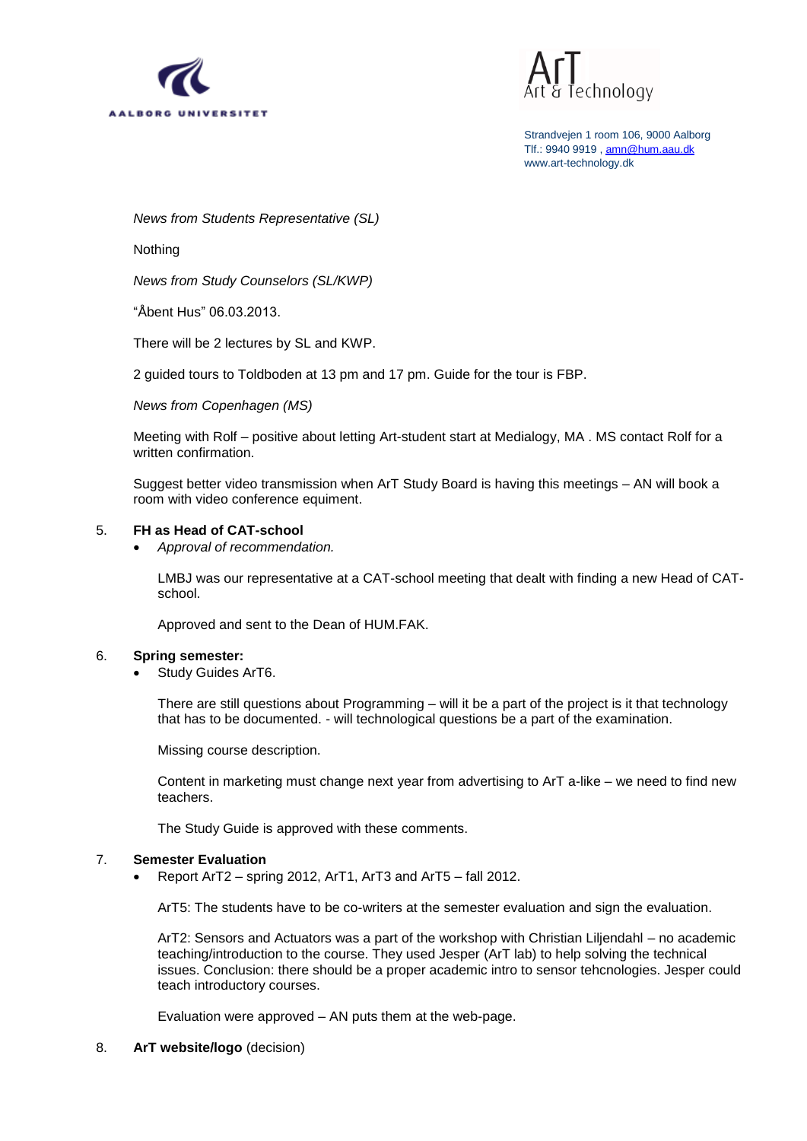



*News from Students Representative (SL)*

Nothing

*News from Study Counselors (SL/KWP)*

"Åbent Hus" 06.03.2013.

There will be 2 lectures by SL and KWP.

2 guided tours to Toldboden at 13 pm and 17 pm. Guide for the tour is FBP.

*News from Copenhagen (MS)*

Meeting with Rolf – positive about letting Art-student start at Medialogy, MA . MS contact Rolf for a written confirmation.

Suggest better video transmission when ArT Study Board is having this meetings – AN will book a room with video conference equiment.

#### 5. **FH as Head of CAT-school**

*Approval of recommendation.*

LMBJ was our representative at a CAT-school meeting that dealt with finding a new Head of CATschool.

Approved and sent to the Dean of HUM.FAK.

#### 6. **Spring semester:**

Study Guides ArT6.

There are still questions about Programming – will it be a part of the project is it that technology that has to be documented. - will technological questions be a part of the examination.

Missing course description.

Content in marketing must change next year from advertising to ArT a-like – we need to find new teachers.

The Study Guide is approved with these comments.

#### 7. **Semester Evaluation**

Report ArT2 – spring 2012, ArT1, ArT3 and ArT5 – fall 2012.

ArT5: The students have to be co-writers at the semester evaluation and sign the evaluation.

ArT2: Sensors and Actuators was a part of the workshop with Christian Liljendahl – no academic teaching/introduction to the course. They used Jesper (ArT lab) to help solving the technical issues. Conclusion: there should be a proper academic intro to sensor tehcnologies. Jesper could teach introductory courses.

Evaluation were approved – AN puts them at the web-page.

#### 8. **ArT website/logo** (decision)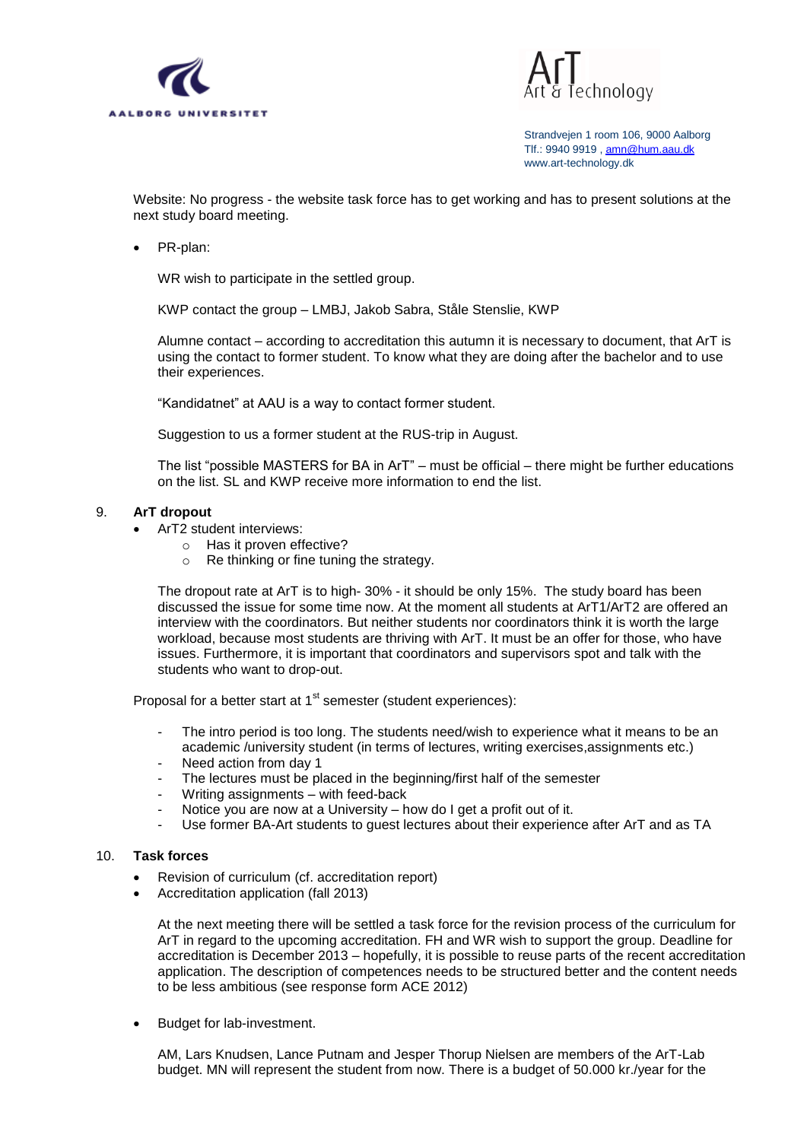



Website: No progress - the website task force has to get working and has to present solutions at the next study board meeting.

PR-plan:

WR wish to participate in the settled group.

KWP contact the group – LMBJ, Jakob Sabra, Ståle Stenslie, KWP

Alumne contact – according to accreditation this autumn it is necessary to document, that ArT is using the contact to former student. To know what they are doing after the bachelor and to use their experiences.

"Kandidatnet" at AAU is a way to contact former student.

Suggestion to us a former student at the RUS-trip in August.

The list "possible MASTERS for BA in ArT" – must be official – there might be further educations on the list. SL and KWP receive more information to end the list.

#### 9. **ArT dropout**

- ArT2 student interviews:
	- o Has it proven effective?
	- o Re thinking or fine tuning the strategy.

The dropout rate at ArT is to high- 30% - it should be only 15%. The study board has been discussed the issue for some time now. At the moment all students at ArT1/ArT2 are offered an interview with the coordinators. But neither students nor coordinators think it is worth the large workload, because most students are thriving with ArT. It must be an offer for those, who have issues. Furthermore, it is important that coordinators and supervisors spot and talk with the students who want to drop-out.

Proposal for a better start at  $1<sup>st</sup>$  semester (student experiences):

- The intro period is too long. The students need/wish to experience what it means to be an academic /university student (in terms of lectures, writing exercises,assignments etc.)
- Need action from day 1
- The lectures must be placed in the beginning/first half of the semester
- Writing assignments with feed-back
- Notice you are now at a University how do I get a profit out of it.
- Use former BA-Art students to guest lectures about their experience after ArT and as TA

#### 10. **Task forces**

- Revision of curriculum (cf. accreditation report)
- Accreditation application (fall 2013)

At the next meeting there will be settled a task force for the revision process of the curriculum for ArT in regard to the upcoming accreditation. FH and WR wish to support the group. Deadline for accreditation is December 2013 – hopefully, it is possible to reuse parts of the recent accreditation application. The description of competences needs to be structured better and the content needs to be less ambitious (see response form ACE 2012)

• Budget for lab-investment.

AM, Lars Knudsen, Lance Putnam and Jesper Thorup Nielsen are members of the ArT-Lab budget. MN will represent the student from now. There is a budget of 50.000 kr./year for the